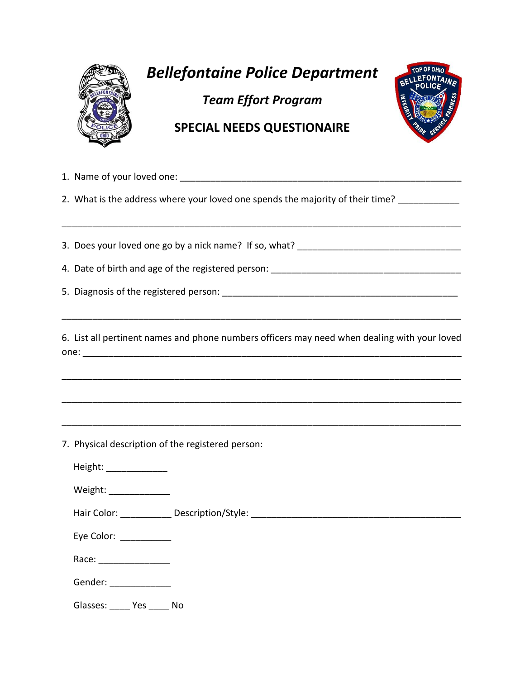

## *Bellefontaine Police Department*

*Team Effort Program*



## **SPECIAL NEEDS QUESTIONAIRE**

1. Name of your loved one: \_\_\_\_\_\_\_\_\_\_\_\_\_\_\_\_\_\_\_\_\_\_\_\_\_\_\_\_\_\_\_\_\_\_\_\_\_\_\_\_\_\_\_\_\_\_\_\_\_\_\_\_\_\_\_ 2. What is the address where your loved one spends the majority of their time? \_\_\_\_\_\_\_\_\_\_\_ \_\_\_\_\_\_\_\_\_\_\_\_\_\_\_\_\_\_\_\_\_\_\_\_\_\_\_\_\_\_\_\_\_\_\_\_\_\_\_\_\_\_\_\_\_\_\_\_\_\_\_\_\_\_\_\_\_\_\_\_\_\_\_\_\_\_\_\_\_\_\_\_\_\_\_\_\_\_ 3. Does your loved one go by a nick name? If so, what? \_\_\_\_\_\_\_\_\_\_\_\_\_\_\_\_\_\_\_\_\_\_\_\_\_\_ 4. Date of birth and age of the registered person: \_\_\_\_\_\_\_\_\_\_\_\_\_\_\_\_\_\_\_\_\_\_\_\_\_\_\_\_\_ 5. Diagnosis of the registered person: \_\_\_\_\_\_\_\_\_\_\_\_\_\_\_\_\_\_\_\_\_\_\_\_\_\_\_\_\_\_\_\_\_\_\_\_\_\_\_\_\_\_\_\_\_\_ \_\_\_\_\_\_\_\_\_\_\_\_\_\_\_\_\_\_\_\_\_\_\_\_\_\_\_\_\_\_\_\_\_\_\_\_\_\_\_\_\_\_\_\_\_\_\_\_\_\_\_\_\_\_\_\_\_\_\_\_\_\_\_\_\_\_\_\_\_\_\_\_\_\_\_\_\_\_ 6. List all pertinent names and phone numbers officers may need when dealing with your loved one: \_\_\_\_\_\_\_\_\_\_\_\_\_\_\_\_\_\_\_\_\_\_\_\_\_\_\_\_\_\_\_\_\_\_\_\_\_\_\_\_\_\_\_\_\_\_\_\_\_\_\_\_\_\_\_\_\_\_\_\_\_\_\_\_\_\_\_\_\_\_\_\_\_\_ \_\_\_\_\_\_\_\_\_\_\_\_\_\_\_\_\_\_\_\_\_\_\_\_\_\_\_\_\_\_\_\_\_\_\_\_\_\_\_\_\_\_\_\_\_\_\_\_\_\_\_\_\_\_\_\_\_\_\_\_\_\_\_\_\_\_\_\_\_\_\_\_\_\_\_\_\_\_ \_\_\_\_\_\_\_\_\_\_\_\_\_\_\_\_\_\_\_\_\_\_\_\_\_\_\_\_\_\_\_\_\_\_\_\_\_\_\_\_\_\_\_\_\_\_\_\_\_\_\_\_\_\_\_\_\_\_\_\_\_\_\_\_\_\_\_\_\_\_\_\_\_\_\_\_\_\_ \_\_\_\_\_\_\_\_\_\_\_\_\_\_\_\_\_\_\_\_\_\_\_\_\_\_\_\_\_\_\_\_\_\_\_\_\_\_\_\_\_\_\_\_\_\_\_\_\_\_\_\_\_\_\_\_\_\_\_\_\_\_\_\_\_\_\_\_\_\_\_\_\_\_\_\_\_\_ 7. Physical description of the registered person: Height: \_\_\_\_\_\_\_\_\_\_\_\_ Weight: Hair Color: \_\_\_\_\_\_\_\_\_\_\_\_\_ Description/Style: \_\_\_\_\_\_\_\_\_\_\_\_\_\_\_\_\_\_\_\_\_\_\_\_\_\_\_\_\_\_\_\_\_\_\_ Eye Color: \_\_\_\_\_\_\_\_\_\_\_\_ Race: \_\_\_\_\_\_\_\_\_\_\_\_\_\_ Gender: \_\_\_\_\_\_\_\_\_\_\_\_\_\_\_ Glasses: Yes No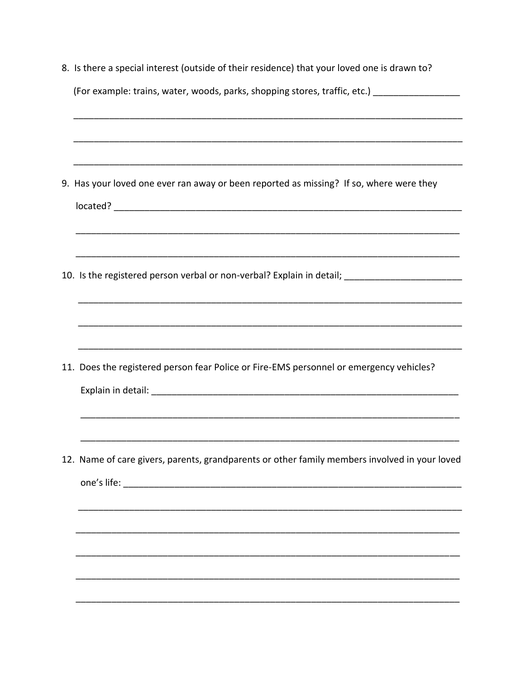| 8. Is there a special interest (outside of their residence) that your loved one is drawn to?        |  |  |  |
|-----------------------------------------------------------------------------------------------------|--|--|--|
| (For example: trains, water, woods, parks, shopping stores, traffic, etc.) [10001]                  |  |  |  |
|                                                                                                     |  |  |  |
| 9. Has your loved one ever ran away or been reported as missing? If so, where were they             |  |  |  |
| ,我们就会在这里的人,我们就会在这里的人,我们就会在这里的人,我们就会在这里的人,我们就会在这里的人,我们就会在这里的人,我们就会在这里的人,我们就会在这里的人                    |  |  |  |
| 10. Is the registered person verbal or non-verbal? Explain in detail; _____________________________ |  |  |  |
|                                                                                                     |  |  |  |
| 11. Does the registered person fear Police or Fire-EMS personnel or emergency vehicles?             |  |  |  |
|                                                                                                     |  |  |  |
| 12. Name of care givers, parents, grandparents or other family members involved in your loved       |  |  |  |
|                                                                                                     |  |  |  |
|                                                                                                     |  |  |  |
|                                                                                                     |  |  |  |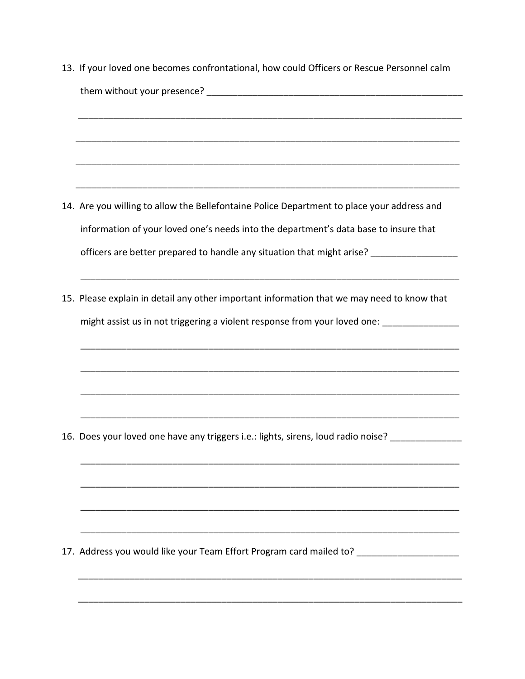13. If your loved one becomes confrontational, how could Officers or Rescue Personnel calm them without your presence? The contract of the contract of the contract of the contract of the contract of the contract of the contract of the contract of the contract of the contract of the contract of the contract of th \_\_\_\_\_\_\_\_\_\_\_\_\_\_\_\_\_\_\_\_\_\_\_\_\_\_\_\_\_\_\_\_\_\_\_\_\_\_\_\_\_\_\_\_\_\_\_\_\_\_\_\_\_\_\_\_\_\_\_\_\_\_\_\_\_\_\_\_\_\_\_\_\_\_\_ \_\_\_\_\_\_\_\_\_\_\_\_\_\_\_\_\_\_\_\_\_\_\_\_\_\_\_\_\_\_\_\_\_\_\_\_\_\_\_\_\_\_\_\_\_\_\_\_\_\_\_\_\_\_\_\_\_\_\_\_\_\_\_\_\_\_\_\_\_\_\_\_\_\_\_ \_\_\_\_\_\_\_\_\_\_\_\_\_\_\_\_\_\_\_\_\_\_\_\_\_\_\_\_\_\_\_\_\_\_\_\_\_\_\_\_\_\_\_\_\_\_\_\_\_\_\_\_\_\_\_\_\_\_\_\_\_\_\_\_\_\_\_\_\_\_\_\_\_\_\_ 14. Are you willing to allow the Bellefontaine Police Department to place your address and information of your loved one's needs into the department's data base to insure that officers are better prepared to handle any situation that might arise? \_\_\_\_\_\_\_\_\_\_\_\_\_\_\_ \_\_\_\_\_\_\_\_\_\_\_\_\_\_\_\_\_\_\_\_\_\_\_\_\_\_\_\_\_\_\_\_\_\_\_\_\_\_\_\_\_\_\_\_\_\_\_\_\_\_\_\_\_\_\_\_\_\_\_\_\_\_\_\_\_\_\_\_\_\_\_\_\_\_ 15. Please explain in detail any other important information that we may need to know that might assist us in not triggering a violent response from your loved one: \_\_\_\_\_\_\_\_\_\_\_\_\_\_\_\_\_\_\_\_\_\_\_\_\_\_\_\_\_\_\_\_\_\_\_\_\_\_\_\_\_\_\_\_\_\_\_\_\_\_\_\_\_\_\_\_\_\_\_\_\_\_\_\_\_\_\_\_\_\_\_\_\_\_ \_\_\_\_\_\_\_\_\_\_\_\_\_\_\_\_\_\_\_\_\_\_\_\_\_\_\_\_\_\_\_\_\_\_\_\_\_\_\_\_\_\_\_\_\_\_\_\_\_\_\_\_\_\_\_\_\_\_\_\_\_\_\_\_\_\_\_\_\_\_\_\_\_\_ \_\_\_\_\_\_\_\_\_\_\_\_\_\_\_\_\_\_\_\_\_\_\_\_\_\_\_\_\_\_\_\_\_\_\_\_\_\_\_\_\_\_\_\_\_\_\_\_\_\_\_\_\_\_\_\_\_\_\_\_\_\_\_\_\_\_\_\_\_\_\_\_\_\_ \_\_\_\_\_\_\_\_\_\_\_\_\_\_\_\_\_\_\_\_\_\_\_\_\_\_\_\_\_\_\_\_\_\_\_\_\_\_\_\_\_\_\_\_\_\_\_\_\_\_\_\_\_\_\_\_\_\_\_\_\_\_\_\_\_\_\_\_\_\_\_\_\_\_ 16. Does your loved one have any triggers i.e.: lights, sirens, loud radio noise? \_\_\_\_\_\_\_\_\_\_\_\_\_\_\_\_\_ \_\_\_\_\_\_\_\_\_\_\_\_\_\_\_\_\_\_\_\_\_\_\_\_\_\_\_\_\_\_\_\_\_\_\_\_\_\_\_\_\_\_\_\_\_\_\_\_\_\_\_\_\_\_\_\_\_\_\_\_\_\_\_\_\_\_\_\_\_\_\_\_\_\_ \_\_\_\_\_\_\_\_\_\_\_\_\_\_\_\_\_\_\_\_\_\_\_\_\_\_\_\_\_\_\_\_\_\_\_\_\_\_\_\_\_\_\_\_\_\_\_\_\_\_\_\_\_\_\_\_\_\_\_\_\_\_\_\_\_\_\_\_\_\_\_\_\_\_ \_\_\_\_\_\_\_\_\_\_\_\_\_\_\_\_\_\_\_\_\_\_\_\_\_\_\_\_\_\_\_\_\_\_\_\_\_\_\_\_\_\_\_\_\_\_\_\_\_\_\_\_\_\_\_\_\_\_\_\_\_\_\_\_\_\_\_\_\_\_\_\_\_\_ \_\_\_\_\_\_\_\_\_\_\_\_\_\_\_\_\_\_\_\_\_\_\_\_\_\_\_\_\_\_\_\_\_\_\_\_\_\_\_\_\_\_\_\_\_\_\_\_\_\_\_\_\_\_\_\_\_\_\_\_\_\_\_\_\_\_\_\_\_\_\_\_\_\_ 17. Address you would like your Team Effort Program card mailed to? \_\_\_\_\_\_\_\_\_\_\_\_\_ \_\_\_\_\_\_\_\_\_\_\_\_\_\_\_\_\_\_\_\_\_\_\_\_\_\_\_\_\_\_\_\_\_\_\_\_\_\_\_\_\_\_\_\_\_\_\_\_\_\_\_\_\_\_\_\_\_\_\_\_\_\_\_\_\_\_\_\_\_\_\_\_\_\_\_

\_\_\_\_\_\_\_\_\_\_\_\_\_\_\_\_\_\_\_\_\_\_\_\_\_\_\_\_\_\_\_\_\_\_\_\_\_\_\_\_\_\_\_\_\_\_\_\_\_\_\_\_\_\_\_\_\_\_\_\_\_\_\_\_\_\_\_\_\_\_\_\_\_\_\_